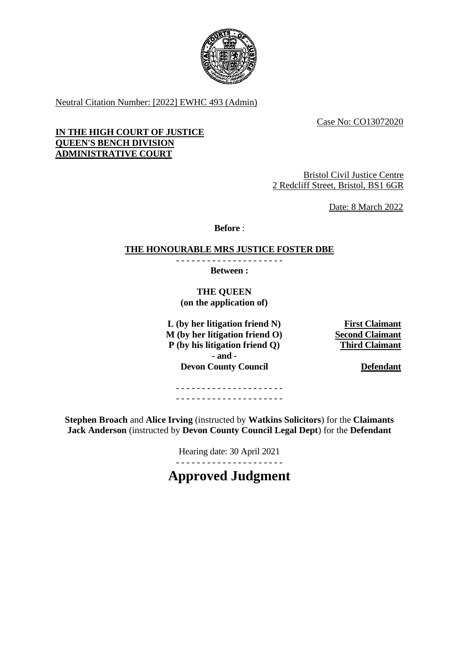

Neutral Citation Number: [2022] EWHC 493 (Admin)

Case No: CO13072020

## **IN THE HIGH COURT OF JUSTICE QUEEN'S BENCH DIVISION ADMINISTRATIVE COURT**

Bristol Civil Justice Centre 2 Redcliff Street, Bristol, BS1 6GR

Date: 8 March 2022

**Before** :

#### **THE HONOURABLE MRS JUSTICE FOSTER DBE** - - - - - - - - - - - - - - - - - - - - -

**Between :**

**THE QUEEN (on the application of)**

L (by her litigation friend N) First Claimant<br>
M (by her litigation friend O) Second Claimant **M** (by her litigation friend O) **P (by his litigation friend Q) Third Claimant - and - Devon County Council <b>Defendant** 

- - - - - - - - - - - - - - - - - - - - - - - - - - - - - - - - - - - - - - - - - -

**Stephen Broach** and **Alice Irving** (instructed by **Watkins Solicitors**) for the **Claimants Jack Anderson** (instructed by **Devon County Council Legal Dept**) for the **Defendant**

Hearing date: 30 April 2021

- - - - - - - - - - - - - - - - - - - - - **Approved Judgment**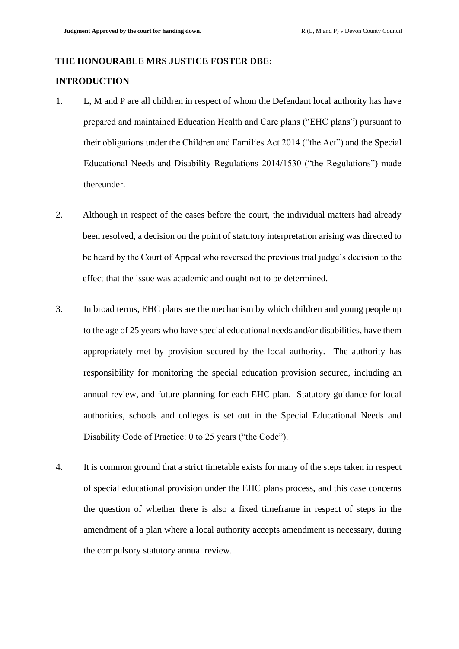# **THE HONOURABLE MRS JUSTICE FOSTER DBE:**

# **INTRODUCTION**

- 1. L, M and P are all children in respect of whom the Defendant local authority has have prepared and maintained Education Health and Care plans ("EHC plans") pursuant to their obligations under the Children and Families Act 2014 ("the Act") and the Special Educational Needs and Disability Regulations 2014/1530 ("the Regulations") made thereunder.
- 2. Although in respect of the cases before the court, the individual matters had already been resolved, a decision on the point of statutory interpretation arising was directed to be heard by the Court of Appeal who reversed the previous trial judge's decision to the effect that the issue was academic and ought not to be determined.
- 3. In broad terms, EHC plans are the mechanism by which children and young people up to the age of 25 years who have special educational needs and/or disabilities, have them appropriately met by provision secured by the local authority. The authority has responsibility for monitoring the special education provision secured, including an annual review, and future planning for each EHC plan. Statutory guidance for local authorities, schools and colleges is set out in the Special Educational Needs and Disability Code of Practice: 0 to 25 years ("the Code").
- 4. It is common ground that a strict timetable exists for many of the steps taken in respect of special educational provision under the EHC plans process, and this case concerns the question of whether there is also a fixed timeframe in respect of steps in the amendment of a plan where a local authority accepts amendment is necessary, during the compulsory statutory annual review.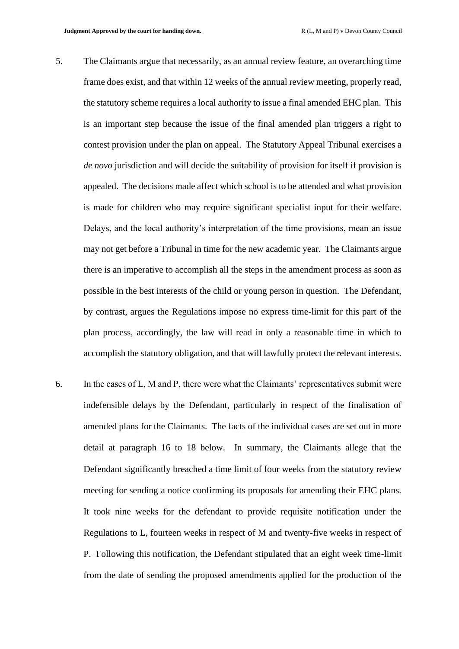- 5. The Claimants argue that necessarily, as an annual review feature, an overarching time frame does exist, and that within 12 weeks of the annual review meeting, properly read, the statutory scheme requires a local authority to issue a final amended EHC plan. This is an important step because the issue of the final amended plan triggers a right to contest provision under the plan on appeal. The Statutory Appeal Tribunal exercises a *de novo* jurisdiction and will decide the suitability of provision for itself if provision is appealed. The decisions made affect which school is to be attended and what provision is made for children who may require significant specialist input for their welfare. Delays, and the local authority's interpretation of the time provisions, mean an issue may not get before a Tribunal in time for the new academic year. The Claimants argue there is an imperative to accomplish all the steps in the amendment process as soon as possible in the best interests of the child or young person in question. The Defendant, by contrast, argues the Regulations impose no express time-limit for this part of the plan process, accordingly, the law will read in only a reasonable time in which to accomplish the statutory obligation, and that will lawfully protect the relevant interests.
- 6. In the cases of L, M and P, there were what the Claimants' representatives submit were indefensible delays by the Defendant, particularly in respect of the finalisation of amended plans for the Claimants. The facts of the individual cases are set out in more detail at paragraph 16 to 18 below. In summary, the Claimants allege that the Defendant significantly breached a time limit of four weeks from the statutory review meeting for sending a notice confirming its proposals for amending their EHC plans. It took nine weeks for the defendant to provide requisite notification under the Regulations to L, fourteen weeks in respect of M and twenty-five weeks in respect of P. Following this notification, the Defendant stipulated that an eight week time-limit from the date of sending the proposed amendments applied for the production of the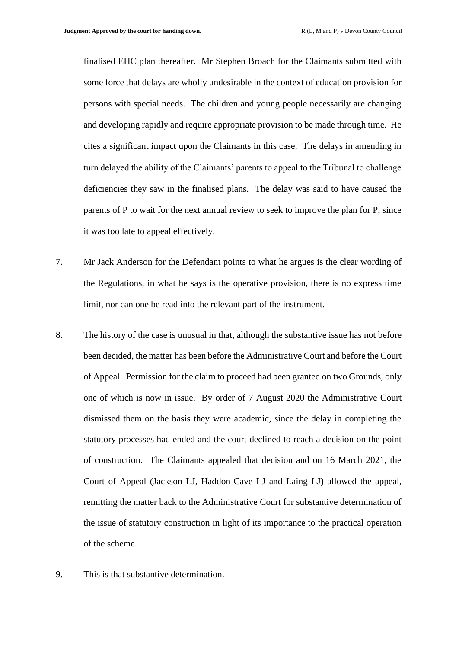finalised EHC plan thereafter. Mr Stephen Broach for the Claimants submitted with some force that delays are wholly undesirable in the context of education provision for persons with special needs. The children and young people necessarily are changing and developing rapidly and require appropriate provision to be made through time. He cites a significant impact upon the Claimants in this case. The delays in amending in turn delayed the ability of the Claimants' parents to appeal to the Tribunal to challenge deficiencies they saw in the finalised plans. The delay was said to have caused the parents of P to wait for the next annual review to seek to improve the plan for P, since it was too late to appeal effectively.

- 7. Mr Jack Anderson for the Defendant points to what he argues is the clear wording of the Regulations, in what he says is the operative provision, there is no express time limit, nor can one be read into the relevant part of the instrument.
- 8. The history of the case is unusual in that, although the substantive issue has not before been decided, the matter has been before the Administrative Court and before the Court of Appeal. Permission for the claim to proceed had been granted on two Grounds, only one of which is now in issue. By order of 7 August 2020 the Administrative Court dismissed them on the basis they were academic, since the delay in completing the statutory processes had ended and the court declined to reach a decision on the point of construction. The Claimants appealed that decision and on 16 March 2021, the Court of Appeal (Jackson LJ, Haddon-Cave LJ and Laing LJ) allowed the appeal, remitting the matter back to the Administrative Court for substantive determination of the issue of statutory construction in light of its importance to the practical operation of the scheme.
- 9. This is that substantive determination.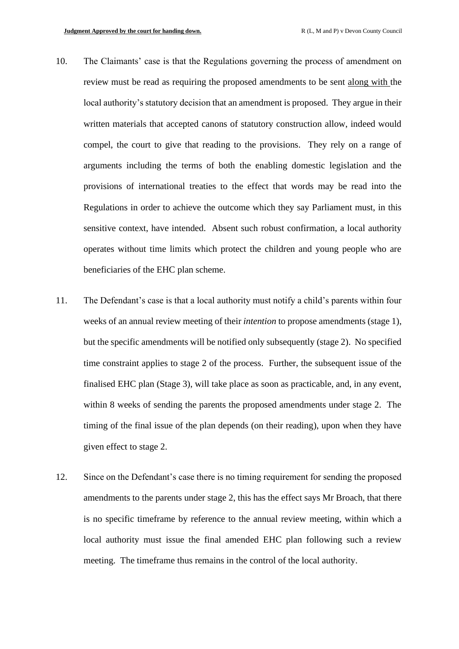- 10. The Claimants' case is that the Regulations governing the process of amendment on review must be read as requiring the proposed amendments to be sent along with the local authority's statutory decision that an amendment is proposed. They argue in their written materials that accepted canons of statutory construction allow, indeed would compel, the court to give that reading to the provisions. They rely on a range of arguments including the terms of both the enabling domestic legislation and the provisions of international treaties to the effect that words may be read into the Regulations in order to achieve the outcome which they say Parliament must, in this sensitive context, have intended. Absent such robust confirmation, a local authority operates without time limits which protect the children and young people who are beneficiaries of the EHC plan scheme.
- 11. The Defendant's case is that a local authority must notify a child's parents within four weeks of an annual review meeting of their *intention* to propose amendments (stage 1), but the specific amendments will be notified only subsequently (stage 2). No specified time constraint applies to stage 2 of the process. Further, the subsequent issue of the finalised EHC plan (Stage 3), will take place as soon as practicable, and, in any event, within 8 weeks of sending the parents the proposed amendments under stage 2. The timing of the final issue of the plan depends (on their reading), upon when they have given effect to stage 2.
- 12. Since on the Defendant's case there is no timing requirement for sending the proposed amendments to the parents under stage 2, this has the effect says Mr Broach, that there is no specific timeframe by reference to the annual review meeting, within which a local authority must issue the final amended EHC plan following such a review meeting. The timeframe thus remains in the control of the local authority.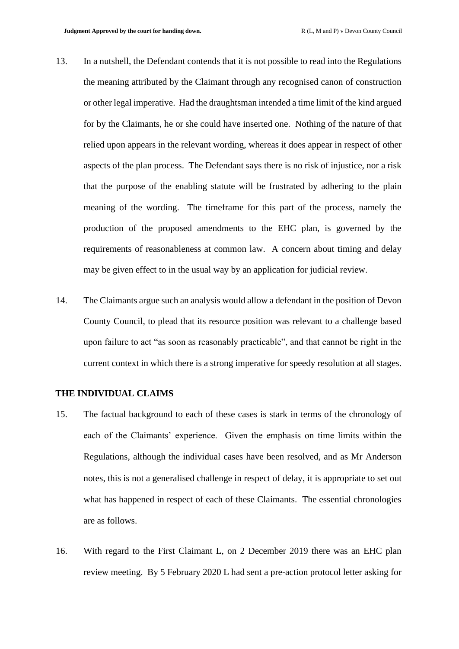- 13. In a nutshell, the Defendant contends that it is not possible to read into the Regulations the meaning attributed by the Claimant through any recognised canon of construction or other legal imperative. Had the draughtsman intended a time limit of the kind argued for by the Claimants, he or she could have inserted one. Nothing of the nature of that relied upon appears in the relevant wording, whereas it does appear in respect of other aspects of the plan process. The Defendant says there is no risk of injustice, nor a risk that the purpose of the enabling statute will be frustrated by adhering to the plain meaning of the wording. The timeframe for this part of the process, namely the production of the proposed amendments to the EHC plan, is governed by the requirements of reasonableness at common law. A concern about timing and delay may be given effect to in the usual way by an application for judicial review.
- 14. The Claimants argue such an analysis would allow a defendant in the position of Devon County Council, to plead that its resource position was relevant to a challenge based upon failure to act "as soon as reasonably practicable", and that cannot be right in the current context in which there is a strong imperative for speedy resolution at all stages.

#### **THE INDIVIDUAL CLAIMS**

- 15. The factual background to each of these cases is stark in terms of the chronology of each of the Claimants' experience. Given the emphasis on time limits within the Regulations, although the individual cases have been resolved, and as Mr Anderson notes, this is not a generalised challenge in respect of delay, it is appropriate to set out what has happened in respect of each of these Claimants. The essential chronologies are as follows.
- 16. With regard to the First Claimant L, on 2 December 2019 there was an EHC plan review meeting. By 5 February 2020 L had sent a pre-action protocol letter asking for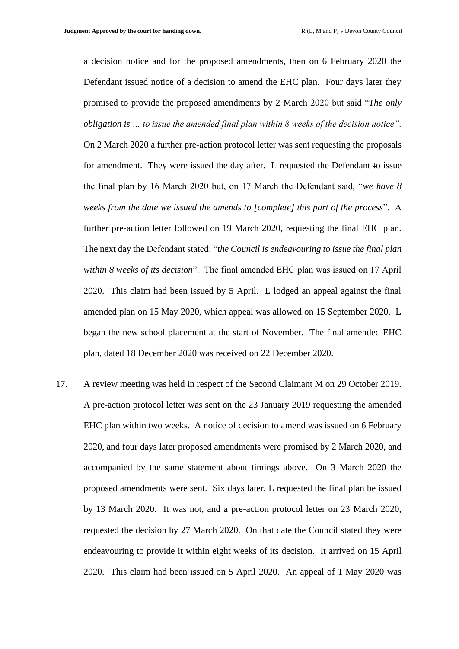a decision notice and for the proposed amendments, then on 6 February 2020 the Defendant issued notice of a decision to amend the EHC plan. Four days later they promised to provide the proposed amendments by 2 March 2020 but said "*The only obligation is … to issue the amended final plan within 8 weeks of the decision notice".* 

On 2 March 2020 a further pre-action protocol letter was sent requesting the proposals for amendment. They were issued the day after. L requested the Defendant to issue the final plan by 16 March 2020 but, on 17 March the Defendant said, "*we have 8 weeks from the date we issued the amends to [complete] this part of the process*". A further pre-action letter followed on 19 March 2020, requesting the final EHC plan. The next day the Defendant stated: "*the Council is endeavouring to issue the final plan within 8 weeks of its decision*". The final amended EHC plan was issued on 17 April 2020. This claim had been issued by 5 April. L lodged an appeal against the final amended plan on 15 May 2020, which appeal was allowed on 15 September 2020. L began the new school placement at the start of November. The final amended EHC plan, dated 18 December 2020 was received on 22 December 2020.

17. A review meeting was held in respect of the Second Claimant M on 29 October 2019. A pre-action protocol letter was sent on the 23 January 2019 requesting the amended EHC plan within two weeks. A notice of decision to amend was issued on 6 February 2020, and four days later proposed amendments were promised by 2 March 2020, and accompanied by the same statement about timings above. On 3 March 2020 the proposed amendments were sent. Six days later, L requested the final plan be issued by 13 March 2020. It was not, and a pre-action protocol letter on 23 March 2020, requested the decision by 27 March 2020. On that date the Council stated they were endeavouring to provide it within eight weeks of its decision. It arrived on 15 April 2020. This claim had been issued on 5 April 2020. An appeal of 1 May 2020 was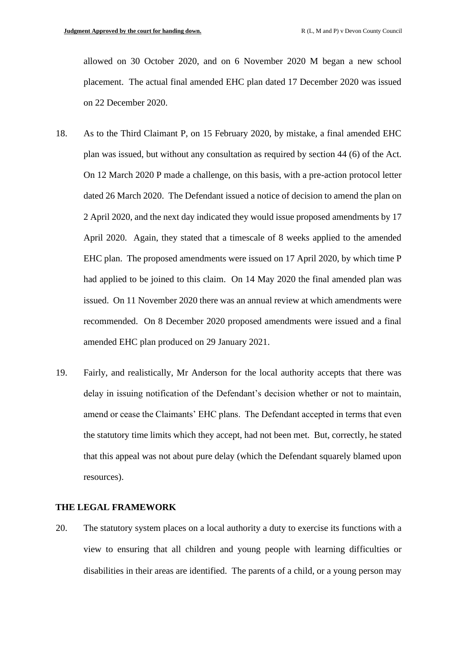allowed on 30 October 2020, and on 6 November 2020 M began a new school placement. The actual final amended EHC plan dated 17 December 2020 was issued on 22 December 2020.

- 18. As to the Third Claimant P, on 15 February 2020, by mistake, a final amended EHC plan was issued, but without any consultation as required by section 44 (6) of the Act. On 12 March 2020 P made a challenge, on this basis, with a pre-action protocol letter dated 26 March 2020. The Defendant issued a notice of decision to amend the plan on 2 April 2020, and the next day indicated they would issue proposed amendments by 17 April 2020. Again, they stated that a timescale of 8 weeks applied to the amended EHC plan. The proposed amendments were issued on 17 April 2020, by which time P had applied to be joined to this claim. On 14 May 2020 the final amended plan was issued. On 11 November 2020 there was an annual review at which amendments were recommended. On 8 December 2020 proposed amendments were issued and a final amended EHC plan produced on 29 January 2021.
- 19. Fairly, and realistically, Mr Anderson for the local authority accepts that there was delay in issuing notification of the Defendant's decision whether or not to maintain, amend or cease the Claimants' EHC plans. The Defendant accepted in terms that even the statutory time limits which they accept, had not been met. But, correctly, he stated that this appeal was not about pure delay (which the Defendant squarely blamed upon resources).

#### **THE LEGAL FRAMEWORK**

20. The statutory system places on a local authority a duty to exercise its functions with a view to ensuring that all children and young people with learning difficulties or disabilities in their areas are identified. The parents of a child, or a young person may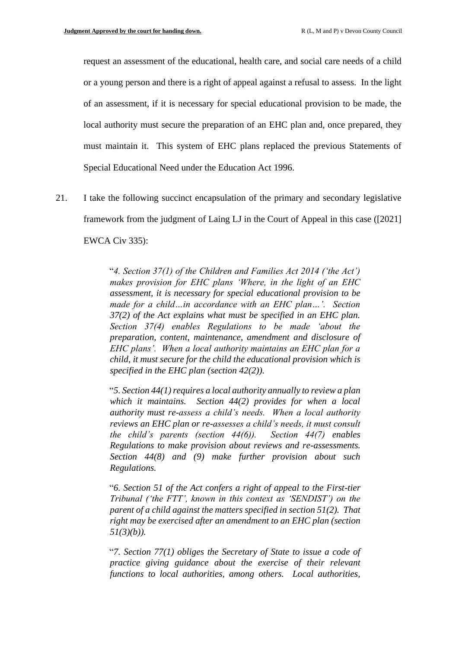request an assessment of the educational, health care, and social care needs of a child or a young person and there is a right of appeal against a refusal to assess. In the light of an assessment, if it is necessary for special educational provision to be made, the local authority must secure the preparation of an EHC plan and, once prepared, they must maintain it. This system of EHC plans replaced the previous Statements of Special Educational Need under the Education Act 1996.

21. I take the following succinct encapsulation of the primary and secondary legislative framework from the judgment of Laing LJ in the Court of Appeal in this case ([2021] EWCA Civ 335):

> "*4. Section 37(1) of the Children and Families Act 2014 ('the Act') makes provision for EHC plans 'Where, in the light of an EHC assessment, it is necessary for special educational provision to be made for a child…in accordance with an EHC plan…'. Section 37(2) of the Act explains what must be specified in an EHC plan. Section 37(4) enables Regulations to be made 'about the preparation, content, maintenance, amendment and disclosure of EHC plans'. When a local authority maintains an EHC plan for a child, it must secure for the child the educational provision which is specified in the EHC plan (section 42(2)).*

> "*5. Section 44(1) requires a local authority annually to review a plan which it maintains. Section 44(2) provides for when a local authority must re-assess a child's needs. When a local authority reviews an EHC plan or re-assesses a child's needs, it must consult the child's parents (section 44(6)). Section 44(7) enables Regulations to make provision about reviews and re-assessments. Section 44(8) and (9) make further provision about such Regulations.*

> "*6. Section 51 of the Act confers a right of appeal to the First-tier Tribunal ('the FTT', known in this context as 'SENDIST') on the parent of a child against the matters specified in section 51(2). That right may be exercised after an amendment to an EHC plan (section 51(3)(b)).*

> "*7. Section 77(1) obliges the Secretary of State to issue a code of practice giving guidance about the exercise of their relevant functions to local authorities, among others. Local authorities,*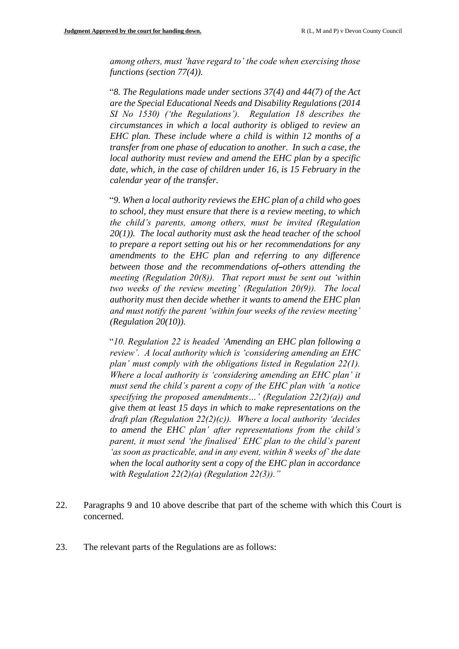*among others, must 'have regard to' the code when exercising those functions (section 77(4)).*

"*8. The Regulations made under sections 37(4) and 44(7) of the Act are the Special Educational Needs and Disability Regulations (2014 SI No 1530) ('the Regulations'). Regulation 18 describes the circumstances in which a local authority is obliged to review an EHC plan. These include where a child is within 12 months of a transfer from one phase of education to another. In such a case, the local authority must review and amend the EHC plan by a specific date, which, in the case of children under 16, is 15 February in the calendar year of the transfer.*

"*9. When a local authority reviews the EHC plan of a child who goes to school, they must ensure that there is a review meeting, to which the child's parents, among others, must be invited (Regulation 20(1)). The local authority must ask the head teacher of the school to prepare a report setting out his or her recommendations for any amendments to the EHC plan and referring to any difference between those and the recommendations of others attending the meeting (Regulation 20(8)). That report must be sent out 'within two weeks of the review meeting' (Regulation 20(9)). The local authority must then decide whether it wants to amend the EHC plan and must notify the parent 'within four weeks of the review meeting' (Regulation 20(10)).*

"*10. Regulation 22 is headed 'Amending an EHC plan following a review'. A local authority which is 'considering amending an EHC plan' must comply with the obligations listed in Regulation 22(1). Where a local authority is 'considering amending an EHC plan' it must send the child's parent a copy of the EHC plan with 'a notice specifying the proposed amendments…' (Regulation 22(2)(a)) and give them at least 15 days in which to make representations on the draft plan (Regulation 22(2)(c)). Where a local authority 'decides to amend the EHC plan' after representations from the child's parent, it must send 'the finalised' EHC plan to the child's parent 'as soon as practicable, and in any event, within 8 weeks of' the date when the local authority sent a copy of the EHC plan in accordance with Regulation 22(2)(a) (Regulation 22(3))."*

- 22. Paragraphs 9 and 10 above describe that part of the scheme with which this Court is concerned.
- 23. The relevant parts of the Regulations are as follows: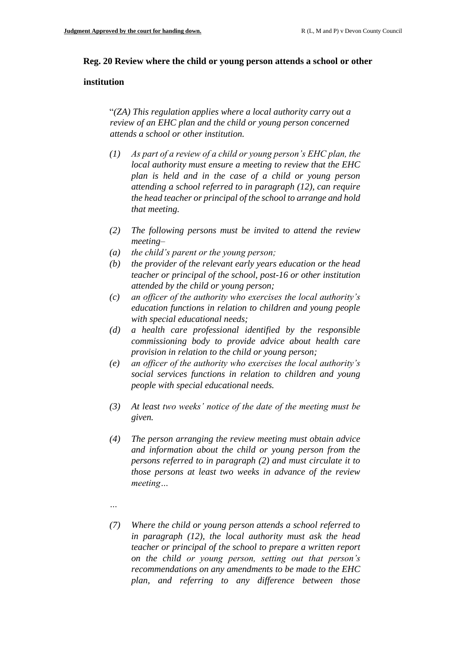#### **Reg. 20 Review where the child or young person attends a school or other**

#### **institution**

"*(ZA) This regulation applies where a local authority carry out a review of an EHC plan and the child or young person concerned attends a school or other institution.*

- *(1) As part of a review of a child or young person's EHC plan, the local authority must ensure a meeting to review that the EHC plan is held and in the case of a child or young person attending a school referred to in paragraph (12), can require the head teacher or principal of the school to arrange and hold that meeting.*
- *(2) The following persons must be invited to attend the review meeting–*
- *(a) the child's parent or the young person;*
- *(b) the provider of the relevant early years education or the head teacher or principal of the school, post-16 or other institution attended by the child or young person;*
- *(c) an officer of the authority who exercises the local authority's education functions in relation to children and young people with special educational needs;*
- *(d) a health care professional identified by the responsible commissioning body to provide advice about health care provision in relation to the child or young person;*
- *(e) an officer of the authority who exercises the local authority's social services functions in relation to children and young people with special educational needs.*
- *(3) At least two weeks' notice of the date of the meeting must be given.*
- *(4) The person arranging the review meeting must obtain advice and information about the child or young person from the persons referred to in paragraph (2) and must circulate it to those persons at least two weeks in advance of the review meeting…*
- *…*
- *(7) Where the child or young person attends a school referred to in paragraph (12), the local authority must ask the head teacher or principal of the school to prepare a written report on the child or young person, setting out that person's recommendations on any amendments to be made to the EHC plan, and referring to any difference between those*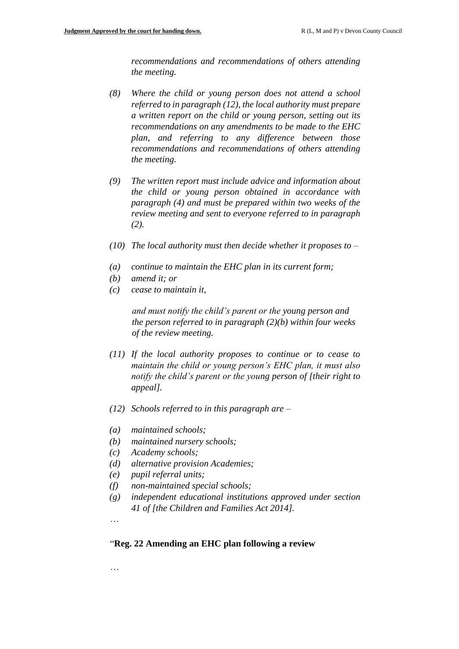*recommendations and recommendations of others attending the meeting.*

- *(8) Where the child or young person does not attend a school referred to in paragraph (12), the local authority must prepare a written report on the child or young person, setting out its recommendations on any amendments to be made to the EHC plan, and referring to any difference between those recommendations and recommendations of others attending the meeting.*
- *(9) The written report must include advice and information about the child or young person obtained in accordance with paragraph (4) and must be prepared within two weeks of the review meeting and sent to everyone referred to in paragraph (2).*
- *(10) The local authority must then decide whether it proposes to –*
- *(a) continue to maintain the EHC plan in its current form;*
- *(b) amend it; or*
- *(c) cease to maintain it,*

*and must notify the child's parent or the young person and the person referred to in paragraph (2)(b) within four weeks of the review meeting.*

- *(11) If the local authority proposes to continue or to cease to maintain the child or young person's EHC plan, it must also notify the child's parent or the young person of [their right to appeal].*
- *(12) Schools referred to in this paragraph are –*
- *(a) maintained schools;*
- *(b) maintained nursery schools;*
- *(c) Academy schools;*
- *(d) alternative provision Academies;*
- *(e) pupil referral units;*
- *(f) non-maintained special schools;*
- *(g) independent educational institutions approved under section 41 of [the Children and Families Act 2014].*

…

### "**Reg. 22 Amending an EHC plan following a review**

…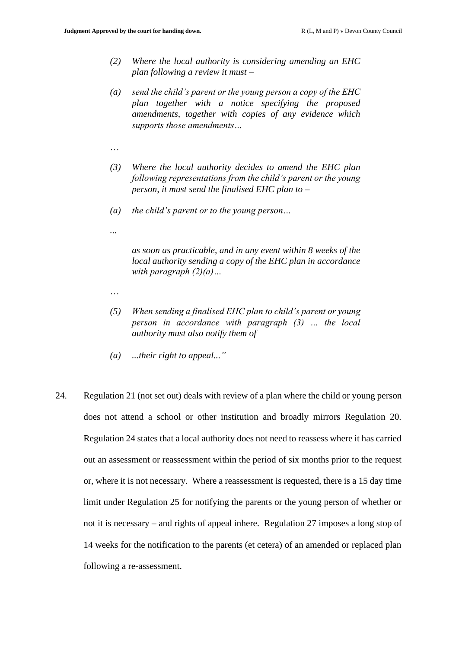- *(2) Where the local authority is considering amending an EHC plan following a review it must –*
- *(a) send the child's parent or the young person a copy of the EHC plan together with a notice specifying the proposed amendments, together with copies of any evidence which supports those amendments…*
- …
- *(3) Where the local authority decides to amend the EHC plan following representations from the child's parent or the young person, it must send the finalised EHC plan to –*
- *(a) the child's parent or to the young person…*
- *...*

*as soon as practicable, and in any event within 8 weeks of the local authority sending a copy of the EHC plan in accordance with paragraph (2)(a)…*

- …
- *(5) When sending a finalised EHC plan to child's parent or young person in accordance with paragraph (3) … the local authority must also notify them of*
- *(a) ...their right to appeal..."*
- 24. Regulation 21 (not set out) deals with review of a plan where the child or young person does not attend a school or other institution and broadly mirrors Regulation 20. Regulation 24 states that a local authority does not need to reassess where it has carried out an assessment or reassessment within the period of six months prior to the request or, where it is not necessary. Where a reassessment is requested, there is a 15 day time limit under Regulation 25 for notifying the parents or the young person of whether or not it is necessary – and rights of appeal inhere. Regulation 27 imposes a long stop of 14 weeks for the notification to the parents (et cetera) of an amended or replaced plan following a re-assessment.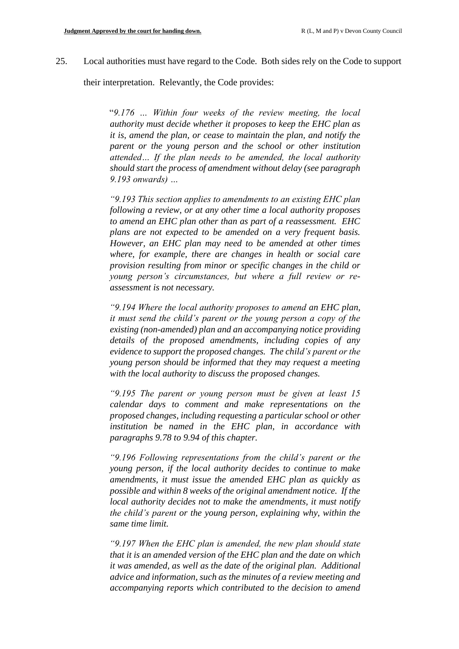25. Local authorities must have regard to the Code. Both sides rely on the Code to support

their interpretation. Relevantly, the Code provides:

"*9.176 … Within four weeks of the review meeting, the local authority must decide whether it proposes to keep the EHC plan as it is, amend the plan, or cease to maintain the plan, and notify the parent or the young person and the school or other institution attended… If the plan needs to be amended, the local authority should start the process of amendment without delay (see paragraph 9.193 onwards) …*

*"9.193 This section applies to amendments to an existing EHC plan following a review, or at any other time a local authority proposes to amend an EHC plan other than as part of a reassessment. EHC plans are not expected to be amended on a very frequent basis. However, an EHC plan may need to be amended at other times where, for example, there are changes in health or social care provision resulting from minor or specific changes in the child or young person's circumstances, but where a full review or reassessment is not necessary.*

*"9.194 Where the local authority proposes to amend an EHC plan, it must send the child's parent or the young person a copy of the existing (non-amended) plan and an accompanying notice providing details of the proposed amendments, including copies of any evidence to support the proposed changes. The child's parent or the young person should be informed that they may request a meeting with the local authority to discuss the proposed changes.*

*"9.195 The parent or young person must be given at least 15 calendar days to comment and make representations on the proposed changes, including requesting a particular school or other institution be named in the EHC plan, in accordance with paragraphs 9.78 to 9.94 of this chapter.*

*"9.196 Following representations from the child's parent or the young person, if the local authority decides to continue to make amendments, it must issue the amended EHC plan as quickly as possible and within 8 weeks of the original amendment notice. If the local authority decides not to make the amendments, it must notify the child's parent or the young person, explaining why, within the same time limit.*

*"9.197 When the EHC plan is amended, the new plan should state that it is an amended version of the EHC plan and the date on which it was amended, as well as the date of the original plan. Additional advice and information, such as the minutes of a review meeting and accompanying reports which contributed to the decision to amend*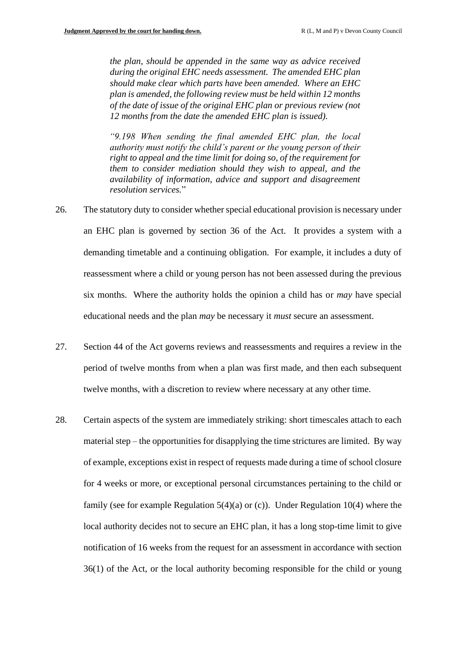*the plan, should be appended in the same way as advice received during the original EHC needs assessment. The amended EHC plan should make clear which parts have been amended. Where an EHC plan is amended, the following review must be held within 12 months of the date of issue of the original EHC plan or previous review (not 12 months from the date the amended EHC plan is issued).*

*"9.198 When sending the final amended EHC plan, the local authority must notify the child's parent or the young person of their right to appeal and the time limit for doing so, of the requirement for them to consider mediation should they wish to appeal, and the availability of information, advice and support and disagreement resolution services.*"

- 26. The statutory duty to consider whether special educational provision is necessary under an EHC plan is governed by section 36 of the Act. It provides a system with a demanding timetable and a continuing obligation. For example, it includes a duty of reassessment where a child or young person has not been assessed during the previous six months. Where the authority holds the opinion a child has or *may* have special educational needs and the plan *may* be necessary it *must* secure an assessment.
- 27. Section 44 of the Act governs reviews and reassessments and requires a review in the period of twelve months from when a plan was first made, and then each subsequent twelve months, with a discretion to review where necessary at any other time.
- 28. Certain aspects of the system are immediately striking: short timescales attach to each material step – the opportunities for disapplying the time strictures are limited. By way of example, exceptions exist in respect of requests made during a time of school closure for 4 weeks or more, or exceptional personal circumstances pertaining to the child or family (see for example Regulation  $5(4)(a)$  or (c)). Under Regulation 10(4) where the local authority decides not to secure an EHC plan, it has a long stop-time limit to give notification of 16 weeks from the request for an assessment in accordance with section 36(1) of the Act, or the local authority becoming responsible for the child or young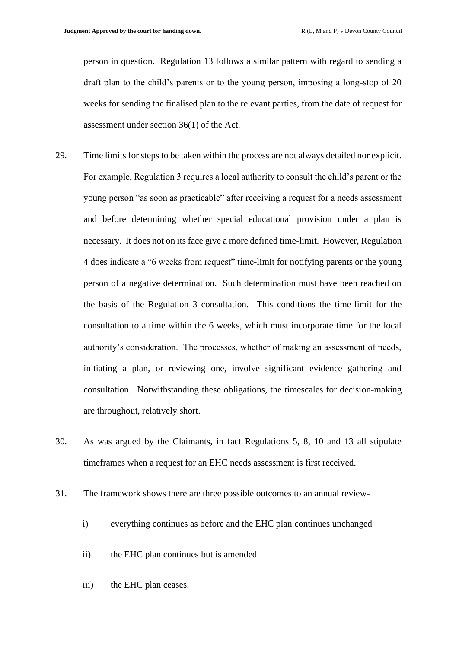person in question. Regulation 13 follows a similar pattern with regard to sending a draft plan to the child's parents or to the young person, imposing a long-stop of 20 weeks for sending the finalised plan to the relevant parties, from the date of request for assessment under section 36(1) of the Act.

- 29. Time limits for steps to be taken within the process are not always detailed nor explicit. For example, Regulation 3 requires a local authority to consult the child's parent or the young person "as soon as practicable" after receiving a request for a needs assessment and before determining whether special educational provision under a plan is necessary. It does not on its face give a more defined time-limit. However, Regulation 4 does indicate a "6 weeks from request" time-limit for notifying parents or the young person of a negative determination. Such determination must have been reached on the basis of the Regulation 3 consultation. This conditions the time-limit for the consultation to a time within the 6 weeks, which must incorporate time for the local authority's consideration. The processes, whether of making an assessment of needs, initiating a plan, or reviewing one, involve significant evidence gathering and consultation. Notwithstanding these obligations, the timescales for decision-making are throughout, relatively short.
- 30. As was argued by the Claimants, in fact Regulations 5, 8, 10 and 13 all stipulate timeframes when a request for an EHC needs assessment is first received.
- 31. The framework shows there are three possible outcomes to an annual review
	- i) everything continues as before and the EHC plan continues unchanged
	- ii) the EHC plan continues but is amended
	- iii) the EHC plan ceases.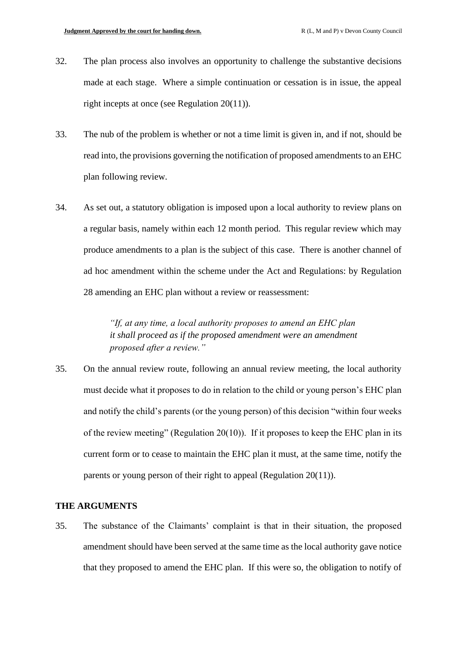- 32. The plan process also involves an opportunity to challenge the substantive decisions made at each stage. Where a simple continuation or cessation is in issue, the appeal right incepts at once (see Regulation 20(11)).
- 33. The nub of the problem is whether or not a time limit is given in, and if not, should be read into, the provisions governing the notification of proposed amendments to an EHC plan following review.
- 34. As set out, a statutory obligation is imposed upon a local authority to review plans on a regular basis, namely within each 12 month period. This regular review which may produce amendments to a plan is the subject of this case. There is another channel of ad hoc amendment within the scheme under the Act and Regulations: by Regulation 28 amending an EHC plan without a review or reassessment:

*"If, at any time, a local authority proposes to amend an EHC plan it shall proceed as if the proposed amendment were an amendment proposed after a review."*

35. On the annual review route, following an annual review meeting, the local authority must decide what it proposes to do in relation to the child or young person's EHC plan and notify the child's parents (or the young person) of this decision "within four weeks of the review meeting" (Regulation 20(10)). If it proposes to keep the EHC plan in its current form or to cease to maintain the EHC plan it must, at the same time, notify the parents or young person of their right to appeal (Regulation 20(11)).

#### **THE ARGUMENTS**

35. The substance of the Claimants' complaint is that in their situation, the proposed amendment should have been served at the same time as the local authority gave notice that they proposed to amend the EHC plan. If this were so, the obligation to notify of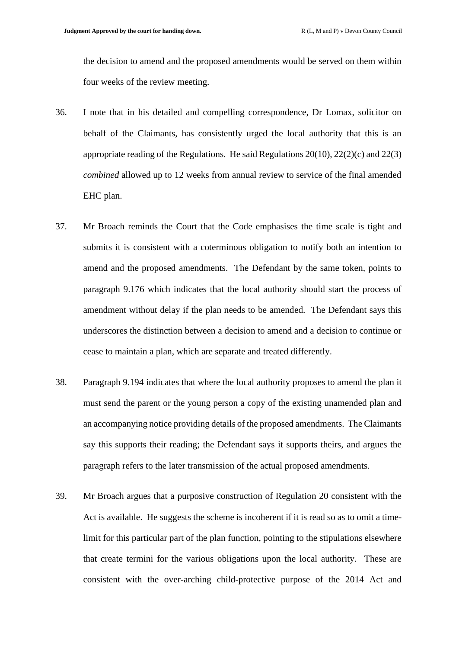the decision to amend and the proposed amendments would be served on them within four weeks of the review meeting.

- 36. I note that in his detailed and compelling correspondence, Dr Lomax, solicitor on behalf of the Claimants, has consistently urged the local authority that this is an appropriate reading of the Regulations. He said Regulations 20(10), 22(2)(c) and 22(3) *combined* allowed up to 12 weeks from annual review to service of the final amended EHC plan.
- 37. Mr Broach reminds the Court that the Code emphasises the time scale is tight and submits it is consistent with a coterminous obligation to notify both an intention to amend and the proposed amendments. The Defendant by the same token, points to paragraph 9.176 which indicates that the local authority should start the process of amendment without delay if the plan needs to be amended. The Defendant says this underscores the distinction between a decision to amend and a decision to continue or cease to maintain a plan, which are separate and treated differently.
- 38. Paragraph 9.194 indicates that where the local authority proposes to amend the plan it must send the parent or the young person a copy of the existing unamended plan and an accompanying notice providing details of the proposed amendments. The Claimants say this supports their reading; the Defendant says it supports theirs, and argues the paragraph refers to the later transmission of the actual proposed amendments.
- 39. Mr Broach argues that a purposive construction of Regulation 20 consistent with the Act is available. He suggests the scheme is incoherent if it is read so as to omit a timelimit for this particular part of the plan function, pointing to the stipulations elsewhere that create termini for the various obligations upon the local authority. These are consistent with the over-arching child-protective purpose of the 2014 Act and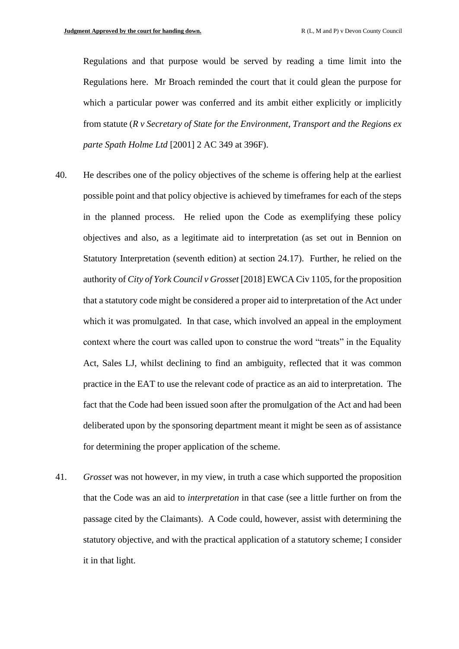Regulations and that purpose would be served by reading a time limit into the Regulations here. Mr Broach reminded the court that it could glean the purpose for which a particular power was conferred and its ambit either explicitly or implicitly from statute (*R v Secretary of State for the Environment, Transport and the Regions ex parte Spath Holme Ltd* [2001] 2 AC 349 at 396F).

- 40. He describes one of the policy objectives of the scheme is offering help at the earliest possible point and that policy objective is achieved by timeframes for each of the steps in the planned process. He relied upon the Code as exemplifying these policy objectives and also, as a legitimate aid to interpretation (as set out in Bennion on Statutory Interpretation (seventh edition) at section 24.17). Further, he relied on the authority of *City of York Council v Grosset* [2018] EWCA Civ 1105, for the proposition that a statutory code might be considered a proper aid to interpretation of the Act under which it was promulgated. In that case, which involved an appeal in the employment context where the court was called upon to construe the word "treats" in the Equality Act, Sales LJ, whilst declining to find an ambiguity, reflected that it was common practice in the EAT to use the relevant code of practice as an aid to interpretation. The fact that the Code had been issued soon after the promulgation of the Act and had been deliberated upon by the sponsoring department meant it might be seen as of assistance for determining the proper application of the scheme.
- 41. *Grosset* was not however, in my view, in truth a case which supported the proposition that the Code was an aid to *interpretation* in that case (see a little further on from the passage cited by the Claimants). A Code could, however, assist with determining the statutory objective, and with the practical application of a statutory scheme; I consider it in that light.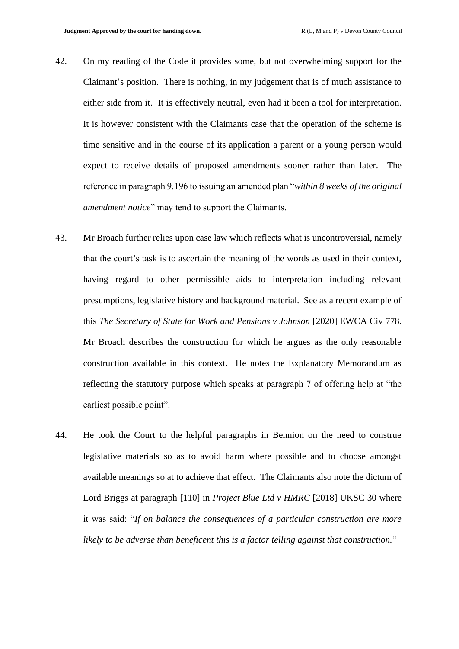- 42. On my reading of the Code it provides some, but not overwhelming support for the Claimant's position. There is nothing, in my judgement that is of much assistance to either side from it. It is effectively neutral, even had it been a tool for interpretation. It is however consistent with the Claimants case that the operation of the scheme is time sensitive and in the course of its application a parent or a young person would expect to receive details of proposed amendments sooner rather than later. The reference in paragraph 9.196 to issuing an amended plan "*within 8 weeks of the original amendment notice*" may tend to support the Claimants.
- 43. Mr Broach further relies upon case law which reflects what is uncontroversial, namely that the court's task is to ascertain the meaning of the words as used in their context, having regard to other permissible aids to interpretation including relevant presumptions, legislative history and background material. See as a recent example of this *The Secretary of State for Work and Pensions v Johnson* [2020] EWCA Civ 778. Mr Broach describes the construction for which he argues as the only reasonable construction available in this context. He notes the Explanatory Memorandum as reflecting the statutory purpose which speaks at paragraph 7 of offering help at "the earliest possible point".
- 44. He took the Court to the helpful paragraphs in Bennion on the need to construe legislative materials so as to avoid harm where possible and to choose amongst available meanings so at to achieve that effect. The Claimants also note the dictum of Lord Briggs at paragraph [110] in *Project Blue Ltd v HMRC* [2018] UKSC 30 where it was said: "*If on balance the consequences of a particular construction are more likely to be adverse than beneficent this is a factor telling against that construction.*"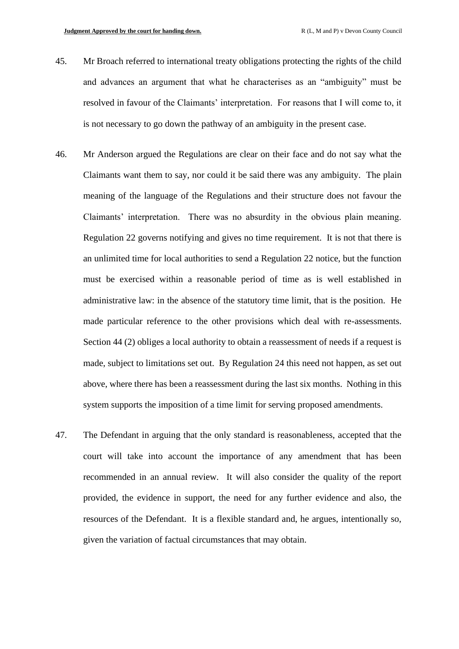- 45. Mr Broach referred to international treaty obligations protecting the rights of the child and advances an argument that what he characterises as an "ambiguity" must be resolved in favour of the Claimants' interpretation. For reasons that I will come to, it is not necessary to go down the pathway of an ambiguity in the present case.
- 46. Mr Anderson argued the Regulations are clear on their face and do not say what the Claimants want them to say, nor could it be said there was any ambiguity. The plain meaning of the language of the Regulations and their structure does not favour the Claimants' interpretation. There was no absurdity in the obvious plain meaning. Regulation 22 governs notifying and gives no time requirement. It is not that there is an unlimited time for local authorities to send a Regulation 22 notice, but the function must be exercised within a reasonable period of time as is well established in administrative law: in the absence of the statutory time limit, that is the position. He made particular reference to the other provisions which deal with re-assessments. Section 44 (2) obliges a local authority to obtain a reassessment of needs if a request is made, subject to limitations set out. By Regulation 24 this need not happen, as set out above, where there has been a reassessment during the last six months. Nothing in this system supports the imposition of a time limit for serving proposed amendments.
- 47. The Defendant in arguing that the only standard is reasonableness, accepted that the court will take into account the importance of any amendment that has been recommended in an annual review. It will also consider the quality of the report provided, the evidence in support, the need for any further evidence and also, the resources of the Defendant. It is a flexible standard and, he argues, intentionally so, given the variation of factual circumstances that may obtain.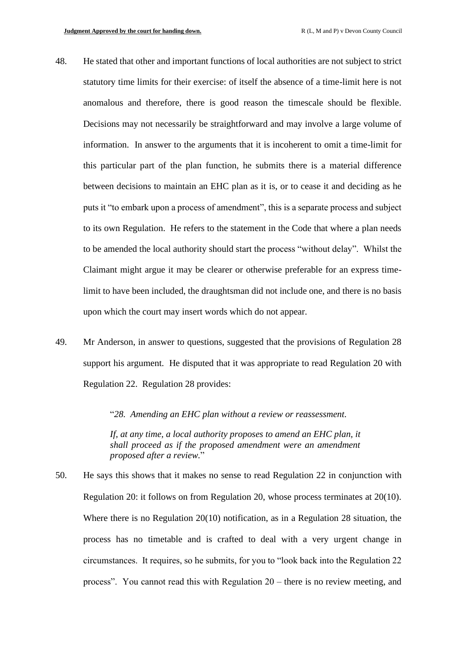- 48. He stated that other and important functions of local authorities are not subject to strict statutory time limits for their exercise: of itself the absence of a time-limit here is not anomalous and therefore, there is good reason the timescale should be flexible. Decisions may not necessarily be straightforward and may involve a large volume of information. In answer to the arguments that it is incoherent to omit a time-limit for this particular part of the plan function, he submits there is a material difference between decisions to maintain an EHC plan as it is, or to cease it and deciding as he puts it "to embark upon a process of amendment", this is a separate process and subject to its own Regulation. He refers to the statement in the Code that where a plan needs to be amended the local authority should start the process "without delay". Whilst the Claimant might argue it may be clearer or otherwise preferable for an express timelimit to have been included, the draughtsman did not include one, and there is no basis upon which the court may insert words which do not appear.
- 49. Mr Anderson, in answer to questions, suggested that the provisions of Regulation 28 support his argument. He disputed that it was appropriate to read Regulation 20 with Regulation 22. Regulation 28 provides:

"*28. Amending an EHC plan without a review or reassessment.* 

*If, at any time, a local authority proposes to amend an EHC plan, it shall proceed as if the proposed amendment were an amendment proposed after a review.*"

50. He says this shows that it makes no sense to read Regulation 22 in conjunction with Regulation 20: it follows on from Regulation 20, whose process terminates at 20(10). Where there is no Regulation 20(10) notification, as in a Regulation 28 situation, the process has no timetable and is crafted to deal with a very urgent change in circumstances. It requires, so he submits, for you to "look back into the Regulation 22 process". You cannot read this with Regulation 20 – there is no review meeting, and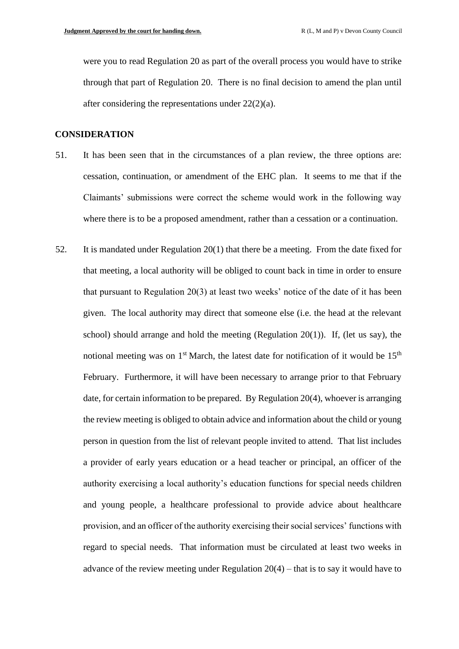were you to read Regulation 20 as part of the overall process you would have to strike through that part of Regulation 20. There is no final decision to amend the plan until after considering the representations under 22(2)(a).

#### **CONSIDERATION**

- 51. It has been seen that in the circumstances of a plan review, the three options are: cessation, continuation, or amendment of the EHC plan. It seems to me that if the Claimants' submissions were correct the scheme would work in the following way where there is to be a proposed amendment, rather than a cessation or a continuation.
- 52. It is mandated under Regulation 20(1) that there be a meeting. From the date fixed for that meeting, a local authority will be obliged to count back in time in order to ensure that pursuant to Regulation 20(3) at least two weeks' notice of the date of it has been given. The local authority may direct that someone else (i.e. the head at the relevant school) should arrange and hold the meeting (Regulation 20(1)). If, (let us say), the notional meeting was on  $1<sup>st</sup>$  March, the latest date for notification of it would be  $15<sup>th</sup>$ February. Furthermore, it will have been necessary to arrange prior to that February date, for certain information to be prepared. By Regulation 20(4), whoever is arranging the review meeting is obliged to obtain advice and information about the child or young person in question from the list of relevant people invited to attend. That list includes a provider of early years education or a head teacher or principal, an officer of the authority exercising a local authority's education functions for special needs children and young people, a healthcare professional to provide advice about healthcare provision, and an officer of the authority exercising their social services' functions with regard to special needs. That information must be circulated at least two weeks in advance of the review meeting under Regulation  $20(4)$  – that is to say it would have to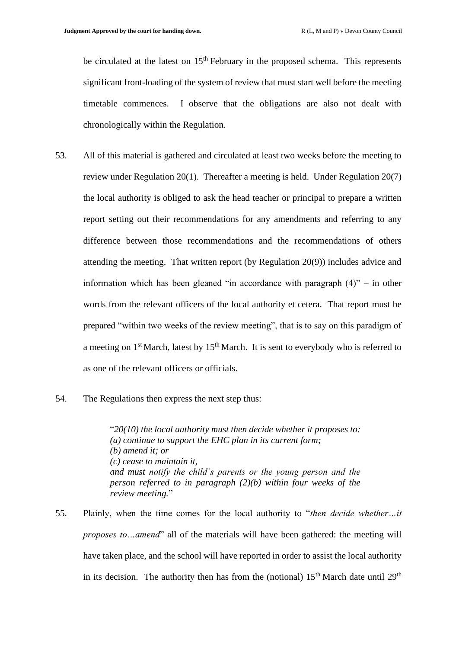be circulated at the latest on  $15<sup>th</sup>$  February in the proposed schema. This represents significant front-loading of the system of review that must start well before the meeting timetable commences. I observe that the obligations are also not dealt with chronologically within the Regulation.

- 53. All of this material is gathered and circulated at least two weeks before the meeting to review under Regulation 20(1). Thereafter a meeting is held. Under Regulation 20(7) the local authority is obliged to ask the head teacher or principal to prepare a written report setting out their recommendations for any amendments and referring to any difference between those recommendations and the recommendations of others attending the meeting. That written report (by Regulation 20(9)) includes advice and information which has been gleaned "in accordance with paragraph  $(4)$ " – in other words from the relevant officers of the local authority et cetera. That report must be prepared "within two weeks of the review meeting", that is to say on this paradigm of a meeting on  $1<sup>st</sup>$  March, latest by  $15<sup>th</sup>$  March. It is sent to everybody who is referred to as one of the relevant officers or officials.
- 54. The Regulations then express the next step thus:

"*20(10) the local authority must then decide whether it proposes to: (a) continue to support the EHC plan in its current form; (b) amend it; or (c) cease to maintain it, and must notify the child's parents or the young person and the person referred to in paragraph (2)(b) within four weeks of the review meeting.*"

55. Plainly, when the time comes for the local authority to "*then decide whether…it proposes to…amend*" all of the materials will have been gathered: the meeting will have taken place, and the school will have reported in order to assist the local authority in its decision. The authority then has from the (notional)  $15<sup>th</sup>$  March date until  $29<sup>th</sup>$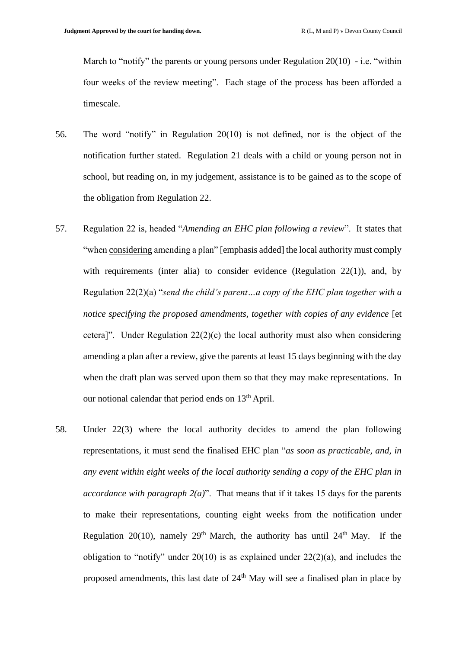March to "notify" the parents or young persons under Regulation 20(10) - i.e. "within four weeks of the review meeting". Each stage of the process has been afforded a timescale.

- 56. The word "notify" in Regulation 20(10) is not defined, nor is the object of the notification further stated. Regulation 21 deals with a child or young person not in school, but reading on, in my judgement, assistance is to be gained as to the scope of the obligation from Regulation 22.
- 57. Regulation 22 is, headed "*Amending an EHC plan following a review*". It states that "when considering amending a plan" [emphasis added] the local authority must comply with requirements (inter alia) to consider evidence (Regulation 22(1)), and, by Regulation 22(2)(a) "*send the child's parent…a copy of the EHC plan together with a notice specifying the proposed amendments, together with copies of any evidence* [et cetera]". Under Regulation  $22(2)(c)$  the local authority must also when considering amending a plan after a review, give the parents at least 15 days beginning with the day when the draft plan was served upon them so that they may make representations. In our notional calendar that period ends on  $13<sup>th</sup>$  April.
- 58. Under 22(3) where the local authority decides to amend the plan following representations, it must send the finalised EHC plan "*as soon as practicable, and, in any event within eight weeks of the local authority sending a copy of the EHC plan in accordance with paragraph 2(a)*". That means that if it takes 15 days for the parents to make their representations, counting eight weeks from the notification under Regulation 20(10), namely 29<sup>th</sup> March, the authority has until 24<sup>th</sup> May. If the obligation to "notify" under  $20(10)$  is as explained under  $22(2)(a)$ , and includes the proposed amendments, this last date of  $24<sup>th</sup>$  May will see a finalised plan in place by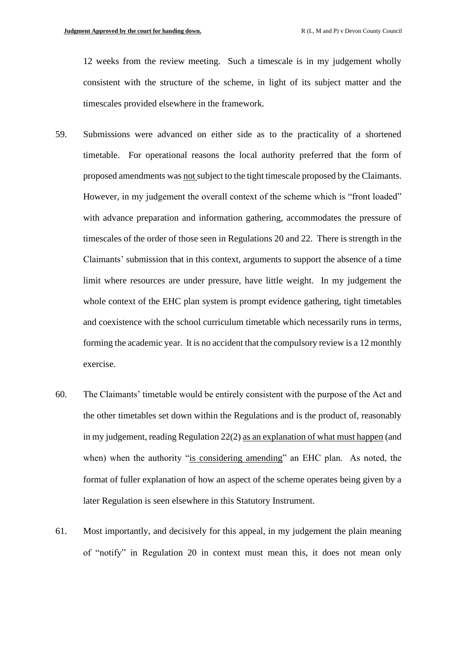12 weeks from the review meeting. Such a timescale is in my judgement wholly consistent with the structure of the scheme, in light of its subject matter and the timescales provided elsewhere in the framework.

- 59. Submissions were advanced on either side as to the practicality of a shortened timetable. For operational reasons the local authority preferred that the form of proposed amendments was not subject to the tight timescale proposed by the Claimants. However, in my judgement the overall context of the scheme which is "front loaded" with advance preparation and information gathering, accommodates the pressure of timescales of the order of those seen in Regulations 20 and 22. There is strength in the Claimants' submission that in this context, arguments to support the absence of a time limit where resources are under pressure, have little weight. In my judgement the whole context of the EHC plan system is prompt evidence gathering, tight timetables and coexistence with the school curriculum timetable which necessarily runs in terms, forming the academic year. It is no accident that the compulsory review is a 12 monthly exercise.
- 60. The Claimants' timetable would be entirely consistent with the purpose of the Act and the other timetables set down within the Regulations and is the product of, reasonably in my judgement, reading Regulation 22(2) as an explanation of what must happen (and when) when the authority "is considering amending" an EHC plan. As noted, the format of fuller explanation of how an aspect of the scheme operates being given by a later Regulation is seen elsewhere in this Statutory Instrument.
- 61. Most importantly, and decisively for this appeal, in my judgement the plain meaning of "notify" in Regulation 20 in context must mean this, it does not mean only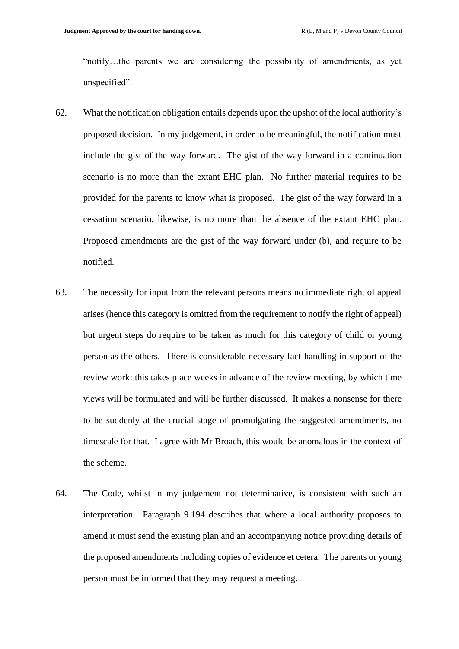"notify…the parents we are considering the possibility of amendments, as yet unspecified".

- 62. What the notification obligation entails depends upon the upshot of the local authority's proposed decision. In my judgement, in order to be meaningful, the notification must include the gist of the way forward. The gist of the way forward in a continuation scenario is no more than the extant EHC plan. No further material requires to be provided for the parents to know what is proposed. The gist of the way forward in a cessation scenario, likewise, is no more than the absence of the extant EHC plan. Proposed amendments are the gist of the way forward under (b), and require to be notified.
- 63. The necessity for input from the relevant persons means no immediate right of appeal arises (hence this category is omitted from the requirement to notify the right of appeal) but urgent steps do require to be taken as much for this category of child or young person as the others. There is considerable necessary fact-handling in support of the review work: this takes place weeks in advance of the review meeting, by which time views will be formulated and will be further discussed. It makes a nonsense for there to be suddenly at the crucial stage of promulgating the suggested amendments, no timescale for that. I agree with Mr Broach, this would be anomalous in the context of the scheme.
- 64. The Code, whilst in my judgement not determinative, is consistent with such an interpretation. Paragraph 9.194 describes that where a local authority proposes to amend it must send the existing plan and an accompanying notice providing details of the proposed amendments including copies of evidence et cetera. The parents or young person must be informed that they may request a meeting.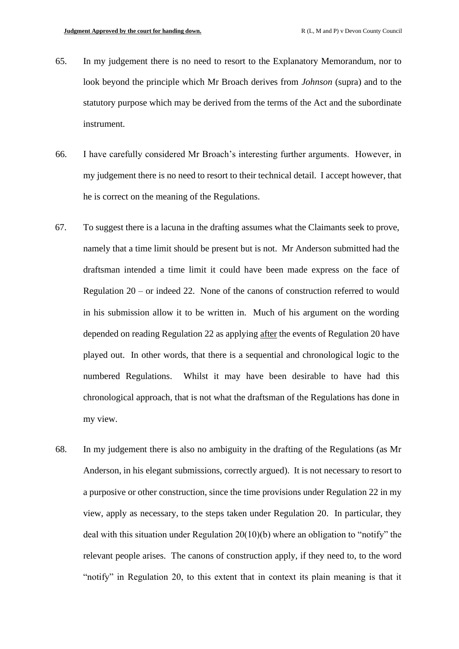- 65. In my judgement there is no need to resort to the Explanatory Memorandum, nor to look beyond the principle which Mr Broach derives from *Johnson* (supra) and to the statutory purpose which may be derived from the terms of the Act and the subordinate instrument.
- 66. I have carefully considered Mr Broach's interesting further arguments. However, in my judgement there is no need to resort to their technical detail. I accept however, that he is correct on the meaning of the Regulations.
- 67. To suggest there is a lacuna in the drafting assumes what the Claimants seek to prove, namely that a time limit should be present but is not. Mr Anderson submitted had the draftsman intended a time limit it could have been made express on the face of Regulation 20 – or indeed 22. None of the canons of construction referred to would in his submission allow it to be written in. Much of his argument on the wording depended on reading Regulation 22 as applying after the events of Regulation 20 have played out. In other words, that there is a sequential and chronological logic to the numbered Regulations. Whilst it may have been desirable to have had this chronological approach, that is not what the draftsman of the Regulations has done in my view.
- 68. In my judgement there is also no ambiguity in the drafting of the Regulations (as Mr Anderson, in his elegant submissions, correctly argued). It is not necessary to resort to a purposive or other construction, since the time provisions under Regulation 22 in my view, apply as necessary, to the steps taken under Regulation 20. In particular, they deal with this situation under Regulation 20(10)(b) where an obligation to "notify" the relevant people arises. The canons of construction apply, if they need to, to the word "notify" in Regulation 20, to this extent that in context its plain meaning is that it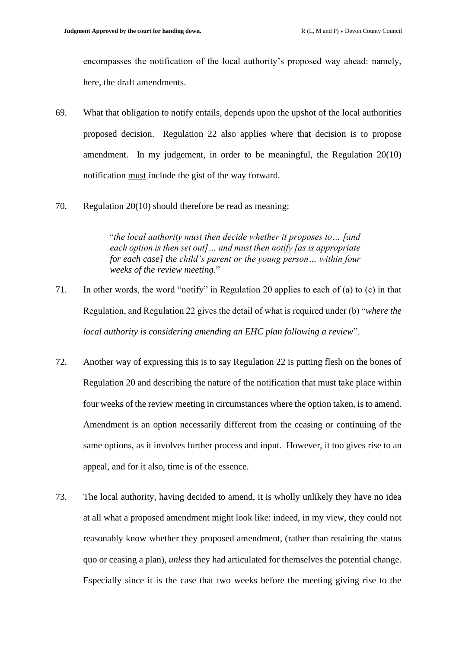encompasses the notification of the local authority's proposed way ahead: namely, here, the draft amendments.

- 69. What that obligation to notify entails, depends upon the upshot of the local authorities proposed decision. Regulation 22 also applies where that decision is to propose amendment. In my judgement, in order to be meaningful, the Regulation 20(10) notification must include the gist of the way forward.
- 70. Regulation 20(10) should therefore be read as meaning:

"*the local authority must then decide whether it proposes to… [and each option is then set out]… and must then notify [as is appropriate for each case] the child's parent or the young person… within four weeks of the review meeting.*"

- 71. In other words, the word "notify" in Regulation 20 applies to each of (a) to (c) in that Regulation, and Regulation 22 gives the detail of what is required under (b) "*where the local authority is considering amending an EHC plan following a review*".
- 72. Another way of expressing this is to say Regulation 22 is putting flesh on the bones of Regulation 20 and describing the nature of the notification that must take place within four weeks of the review meeting in circumstances where the option taken, is to amend. Amendment is an option necessarily different from the ceasing or continuing of the same options, as it involves further process and input. However, it too gives rise to an appeal, and for it also, time is of the essence.
- 73. The local authority, having decided to amend, it is wholly unlikely they have no idea at all what a proposed amendment might look like: indeed, in my view, they could not reasonably know whether they proposed amendment, (rather than retaining the status quo or ceasing a plan), *unless* they had articulated for themselves the potential change. Especially since it is the case that two weeks before the meeting giving rise to the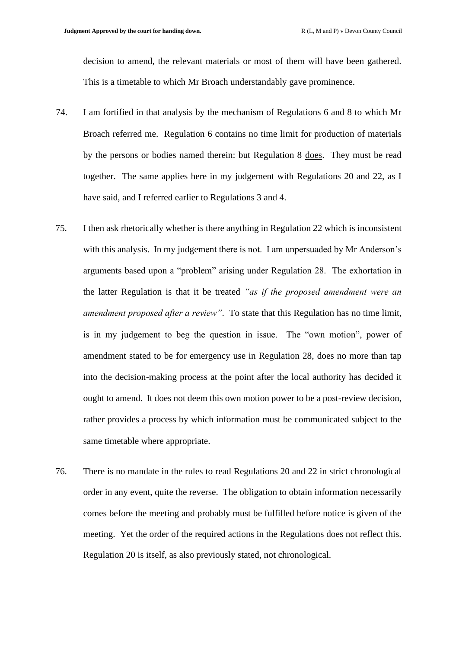decision to amend, the relevant materials or most of them will have been gathered. This is a timetable to which Mr Broach understandably gave prominence.

- 74. I am fortified in that analysis by the mechanism of Regulations 6 and 8 to which Mr Broach referred me. Regulation 6 contains no time limit for production of materials by the persons or bodies named therein: but Regulation 8 does. They must be read together. The same applies here in my judgement with Regulations 20 and 22, as I have said, and I referred earlier to Regulations 3 and 4.
- 75. I then ask rhetorically whether is there anything in Regulation 22 which is inconsistent with this analysis. In my judgement there is not. I am unpersuaded by Mr Anderson's arguments based upon a "problem" arising under Regulation 28. The exhortation in the latter Regulation is that it be treated *"as if the proposed amendment were an amendment proposed after a review"*. To state that this Regulation has no time limit, is in my judgement to beg the question in issue. The "own motion", power of amendment stated to be for emergency use in Regulation 28, does no more than tap into the decision-making process at the point after the local authority has decided it ought to amend. It does not deem this own motion power to be a post-review decision, rather provides a process by which information must be communicated subject to the same timetable where appropriate.
- 76. There is no mandate in the rules to read Regulations 20 and 22 in strict chronological order in any event, quite the reverse. The obligation to obtain information necessarily comes before the meeting and probably must be fulfilled before notice is given of the meeting. Yet the order of the required actions in the Regulations does not reflect this. Regulation 20 is itself, as also previously stated, not chronological.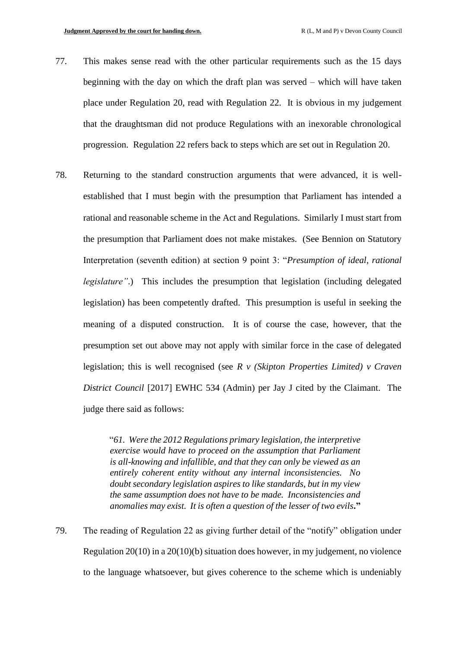- 77. This makes sense read with the other particular requirements such as the 15 days beginning with the day on which the draft plan was served – which will have taken place under Regulation 20, read with Regulation 22. It is obvious in my judgement that the draughtsman did not produce Regulations with an inexorable chronological progression. Regulation 22 refers back to steps which are set out in Regulation 20.
- 78. Returning to the standard construction arguments that were advanced, it is wellestablished that I must begin with the presumption that Parliament has intended a rational and reasonable scheme in the Act and Regulations. Similarly I must start from the presumption that Parliament does not make mistakes. (See Bennion on Statutory Interpretation (seventh edition) at section 9 point 3: "*Presumption of ideal, rational legislature*".) This includes the presumption that legislation (including delegated legislation) has been competently drafted. This presumption is useful in seeking the meaning of a disputed construction. It is of course the case, however, that the presumption set out above may not apply with similar force in the case of delegated legislation; this is well recognised (see *R v (Skipton Properties Limited) v Craven District Council* [2017] EWHC 534 (Admin) per Jay J cited by the Claimant. The judge there said as follows:

"*61. Were the 2012 Regulations primary legislation, the interpretive exercise would have to proceed on the assumption that Parliament is all-knowing and infallible, and that they can only be viewed as an entirely coherent entity without any internal inconsistencies. No doubt secondary legislation aspires to like standards, but in my view the same assumption does not have to be made. Inconsistencies and anomalies may exist. It is often a question of the lesser of two evils***."**

79. The reading of Regulation 22 as giving further detail of the "notify" obligation under Regulation 20(10) in a 20(10)(b) situation does however, in my judgement, no violence to the language whatsoever, but gives coherence to the scheme which is undeniably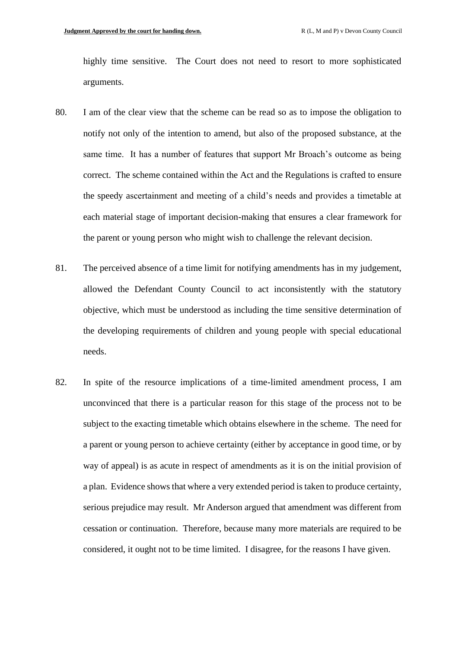highly time sensitive. The Court does not need to resort to more sophisticated arguments.

- 80. I am of the clear view that the scheme can be read so as to impose the obligation to notify not only of the intention to amend, but also of the proposed substance, at the same time. It has a number of features that support Mr Broach's outcome as being correct. The scheme contained within the Act and the Regulations is crafted to ensure the speedy ascertainment and meeting of a child's needs and provides a timetable at each material stage of important decision-making that ensures a clear framework for the parent or young person who might wish to challenge the relevant decision.
- 81. The perceived absence of a time limit for notifying amendments has in my judgement, allowed the Defendant County Council to act inconsistently with the statutory objective, which must be understood as including the time sensitive determination of the developing requirements of children and young people with special educational needs.
- 82. In spite of the resource implications of a time-limited amendment process, I am unconvinced that there is a particular reason for this stage of the process not to be subject to the exacting timetable which obtains elsewhere in the scheme. The need for a parent or young person to achieve certainty (either by acceptance in good time, or by way of appeal) is as acute in respect of amendments as it is on the initial provision of a plan. Evidence shows that where a very extended period is taken to produce certainty, serious prejudice may result. Mr Anderson argued that amendment was different from cessation or continuation. Therefore, because many more materials are required to be considered, it ought not to be time limited. I disagree, for the reasons I have given.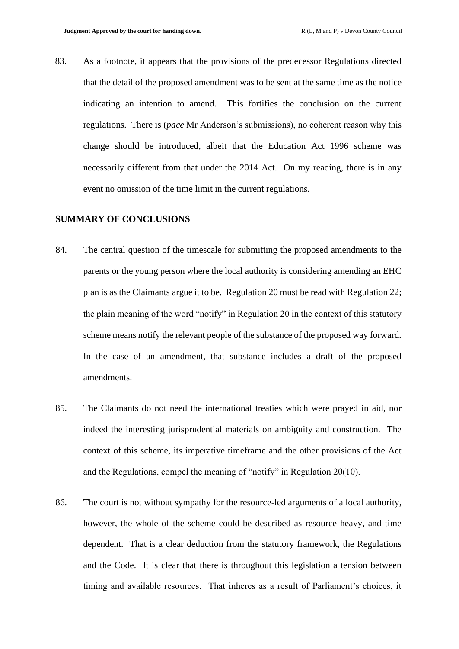83. As a footnote, it appears that the provisions of the predecessor Regulations directed that the detail of the proposed amendment was to be sent at the same time as the notice indicating an intention to amend. This fortifies the conclusion on the current regulations. There is (*pace* Mr Anderson's submissions), no coherent reason why this change should be introduced, albeit that the Education Act 1996 scheme was necessarily different from that under the 2014 Act. On my reading, there is in any event no omission of the time limit in the current regulations.

#### **SUMMARY OF CONCLUSIONS**

- 84. The central question of the timescale for submitting the proposed amendments to the parents or the young person where the local authority is considering amending an EHC plan is as the Claimants argue it to be. Regulation 20 must be read with Regulation 22; the plain meaning of the word "notify" in Regulation 20 in the context of this statutory scheme means notify the relevant people of the substance of the proposed way forward. In the case of an amendment, that substance includes a draft of the proposed amendments.
- 85. The Claimants do not need the international treaties which were prayed in aid, nor indeed the interesting jurisprudential materials on ambiguity and construction. The context of this scheme, its imperative timeframe and the other provisions of the Act and the Regulations, compel the meaning of "notify" in Regulation 20(10).
- 86. The court is not without sympathy for the resource-led arguments of a local authority, however, the whole of the scheme could be described as resource heavy, and time dependent. That is a clear deduction from the statutory framework, the Regulations and the Code. It is clear that there is throughout this legislation a tension between timing and available resources. That inheres as a result of Parliament's choices, it